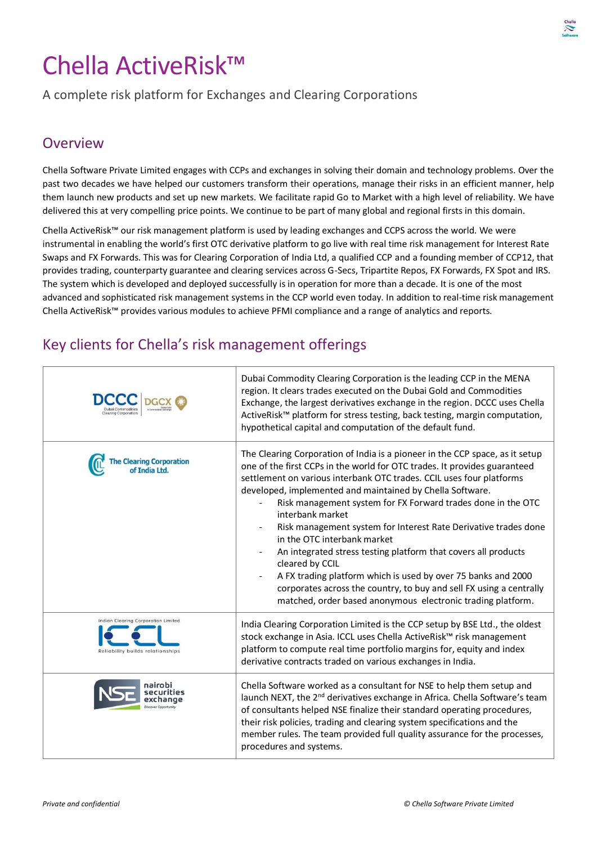# Chella ActiveRisk™

A complete risk platform for Exchanges and Clearing Corporations

#### **Overview**

Chella Software Private Limited engages with CCPs and exchanges in solving their domain and technology problems. Over the past two decades we have helped our customers transform their operations, manage their risks in an efficient manner, help them launch new products and set up new markets. We facilitate rapid Go to Market with a high level of reliability. We have delivered this at very compelling price points. We continue to be part of many global and regional firsts in this domain.

Chella ActiveRisk™ our risk management platform is used by leading exchanges and CCPS across the world. We were instrumental in enabling the world's first OTC derivative platform to go live with real time risk management for Interest Rate Swaps and FX Forwards. This was for Clearing Corporation of India Ltd, a qualified CCP and a founding member of CCP12, that provides trading, counterparty guarantee and clearing services across G-Secs, Tripartite Repos, FX Forwards, FX Spot and IRS. The system which is developed and deployed successfully is in operation for more than a decade. It is one of the most advanced and sophisticated risk management systems in the CCP world even today. In addition to real-time risk management Chella ActiveRisk™ provides various modules to achieve PFMI compliance and a range of analytics and reports.

### Key clients for Chella's risk management offerings

|                                                                         | Dubai Commodity Clearing Corporation is the leading CCP in the MENA<br>region. It clears trades executed on the Dubai Gold and Commodities<br>Exchange, the largest derivatives exchange in the region. DCCC uses Chella<br>ActiveRisk <sup>™</sup> platform for stress testing, back testing, margin computation,<br>hypothetical capital and computation of the default fund.                                                                                                                                                                                                                                                                                                                                                                                                  |
|-------------------------------------------------------------------------|----------------------------------------------------------------------------------------------------------------------------------------------------------------------------------------------------------------------------------------------------------------------------------------------------------------------------------------------------------------------------------------------------------------------------------------------------------------------------------------------------------------------------------------------------------------------------------------------------------------------------------------------------------------------------------------------------------------------------------------------------------------------------------|
| earing Corporation                                                      | The Clearing Corporation of India is a pioneer in the CCP space, as it setup<br>one of the first CCPs in the world for OTC trades. It provides guaranteed<br>settlement on various interbank OTC trades. CCIL uses four platforms<br>developed, implemented and maintained by Chella Software.<br>Risk management system for FX Forward trades done in the OTC<br>interbank market<br>Risk management system for Interest Rate Derivative trades done<br>in the OTC interbank market<br>An integrated stress testing platform that covers all products<br>cleared by CCIL<br>A FX trading platform which is used by over 75 banks and 2000<br>corporates across the country, to buy and sell FX using a centrally<br>matched, order based anonymous electronic trading platform. |
| Indian Clearing Corporation Limited<br>Reliability builds relationships | India Clearing Corporation Limited is the CCP setup by BSE Ltd., the oldest<br>stock exchange in Asia. ICCL uses Chella ActiveRisk™ risk management<br>platform to compute real time portfolio margins for, equity and index<br>derivative contracts traded on various exchanges in India.                                                                                                                                                                                                                                                                                                                                                                                                                                                                                       |
|                                                                         | Chella Software worked as a consultant for NSE to help them setup and<br>launch NEXT, the 2 <sup>nd</sup> derivatives exchange in Africa. Chella Software's team<br>of consultants helped NSE finalize their standard operating procedures,<br>their risk policies, trading and clearing system specifications and the<br>member rules. The team provided full quality assurance for the processes,<br>procedures and systems.                                                                                                                                                                                                                                                                                                                                                   |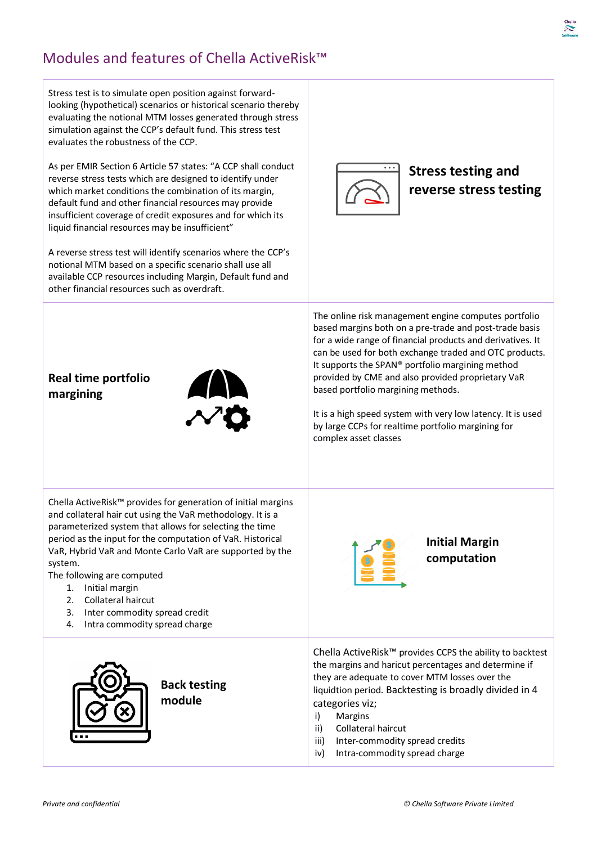# Modules and features of Chella ActiveRisk™

| Stress test is to simulate open position against forward-<br>looking (hypothetical) scenarios or historical scenario thereby<br>evaluating the notional MTM losses generated through stress<br>simulation against the CCP's default fund. This stress test<br>evaluates the robustness of the CCP.<br>As per EMIR Section 6 Article 57 states: "A CCP shall conduct<br>reverse stress tests which are designed to identify under<br>which market conditions the combination of its margin,<br>default fund and other financial resources may provide<br>insufficient coverage of credit exposures and for which its<br>liquid financial resources may be insufficient"<br>A reverse stress test will identify scenarios where the CCP's<br>notional MTM based on a specific scenario shall use all<br>available CCP resources including Margin, Default fund and<br>other financial resources such as overdraft. | <b>Stress testing and</b><br>reverse stress testing                                                                                                                                                                                                                                                                                                                                                                                                                                                                                 |
|------------------------------------------------------------------------------------------------------------------------------------------------------------------------------------------------------------------------------------------------------------------------------------------------------------------------------------------------------------------------------------------------------------------------------------------------------------------------------------------------------------------------------------------------------------------------------------------------------------------------------------------------------------------------------------------------------------------------------------------------------------------------------------------------------------------------------------------------------------------------------------------------------------------|-------------------------------------------------------------------------------------------------------------------------------------------------------------------------------------------------------------------------------------------------------------------------------------------------------------------------------------------------------------------------------------------------------------------------------------------------------------------------------------------------------------------------------------|
| Real time portfolio<br><b>AN</b><br>margining                                                                                                                                                                                                                                                                                                                                                                                                                                                                                                                                                                                                                                                                                                                                                                                                                                                                    | The online risk management engine computes portfolio<br>based margins both on a pre-trade and post-trade basis<br>for a wide range of financial products and derivatives. It<br>can be used for both exchange traded and OTC products.<br>It supports the SPAN® portfolio margining method<br>provided by CME and also provided proprietary VaR<br>based portfolio margining methods.<br>It is a high speed system with very low latency. It is used<br>by large CCPs for realtime portfolio margining for<br>complex asset classes |
| Chella ActiveRisk <sup>™</sup> provides for generation of initial margins<br>and collateral hair cut using the VaR methodology. It is a<br>parameterized system that allows for selecting the time<br>period as the input for the computation of VaR. Historical<br>VaR, Hybrid VaR and Monte Carlo VaR are supported by the<br>system.<br>The following are computed<br>Initial margin<br>1.<br>Collateral haircut<br>2.<br>3.<br>Inter commodity spread credit<br>Intra commodity spread charge<br>4.                                                                                                                                                                                                                                                                                                                                                                                                          | <b>Initial Margin</b><br>computation                                                                                                                                                                                                                                                                                                                                                                                                                                                                                                |
| <b>Back testing</b><br>module                                                                                                                                                                                                                                                                                                                                                                                                                                                                                                                                                                                                                                                                                                                                                                                                                                                                                    | Chella ActiveRisk <sup>™</sup> provides CCPS the ability to backtest<br>the margins and haricut percentages and determine if<br>they are adequate to cover MTM losses over the<br>liquidtion period. Backtesting is broadly divided in 4<br>categories viz;<br>Margins<br>i)<br>Collateral haircut<br>ii)<br>Inter-commodity spread credits<br>iii)<br>Intra-commodity spread charge<br>iv)                                                                                                                                         |